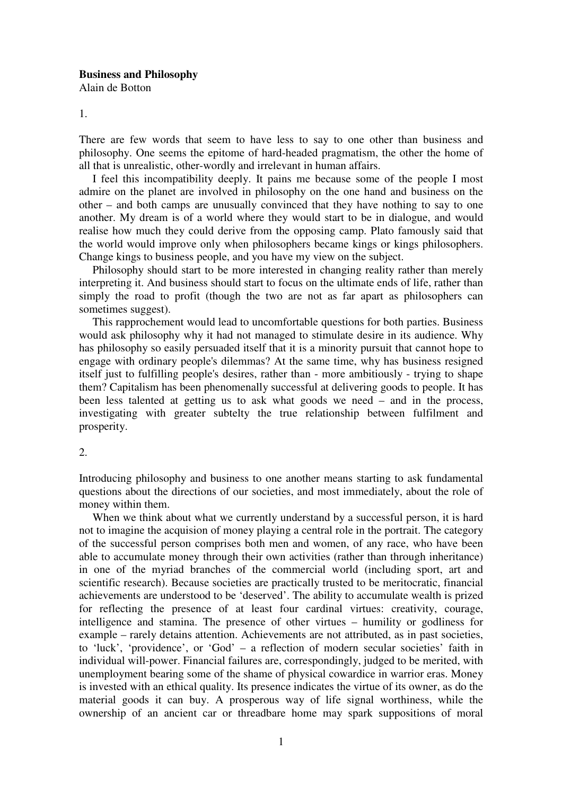# **Business and Philosophy**

Alain de Botton

#### 1.

There are few words that seem to have less to say to one other than business and philosophy. One seems the epitome of hard-headed pragmatism, the other the home of all that is unrealistic, other-wordly and irrelevant in human affairs.

 I feel this incompatibility deeply. It pains me because some of the people I most admire on the planet are involved in philosophy on the one hand and business on the other – and both camps are unusually convinced that they have nothing to say to one another. My dream is of a world where they would start to be in dialogue, and would realise how much they could derive from the opposing camp. Plato famously said that the world would improve only when philosophers became kings or kings philosophers. Change kings to business people, and you have my view on the subject.

 Philosophy should start to be more interested in changing reality rather than merely interpreting it. And business should start to focus on the ultimate ends of life, rather than simply the road to profit (though the two are not as far apart as philosophers can sometimes suggest).

 This rapprochement would lead to uncomfortable questions for both parties. Business would ask philosophy why it had not managed to stimulate desire in its audience. Why has philosophy so easily persuaded itself that it is a minority pursuit that cannot hope to engage with ordinary people's dilemmas? At the same time, why has business resigned itself just to fulfilling people's desires, rather than - more ambitiously - trying to shape them? Capitalism has been phenomenally successful at delivering goods to people. It has been less talented at getting us to ask what goods we need – and in the process, investigating with greater subtelty the true relationship between fulfilment and prosperity.

## 2.

Introducing philosophy and business to one another means starting to ask fundamental questions about the directions of our societies, and most immediately, about the role of money within them.

 When we think about what we currently understand by a successful person, it is hard not to imagine the acquision of money playing a central role in the portrait. The category of the successful person comprises both men and women, of any race, who have been able to accumulate money through their own activities (rather than through inheritance) in one of the myriad branches of the commercial world (including sport, art and scientific research). Because societies are practically trusted to be meritocratic, financial achievements are understood to be 'deserved'. The ability to accumulate wealth is prized for reflecting the presence of at least four cardinal virtues: creativity, courage, intelligence and stamina. The presence of other virtues – humility or godliness for example – rarely detains attention. Achievements are not attributed, as in past societies, to 'luck', 'providence', or 'God' – a reflection of modern secular societies' faith in individual will-power. Financial failures are, correspondingly, judged to be merited, with unemployment bearing some of the shame of physical cowardice in warrior eras. Money is invested with an ethical quality. Its presence indicates the virtue of its owner, as do the material goods it can buy. A prosperous way of life signal worthiness, while the ownership of an ancient car or threadbare home may spark suppositions of moral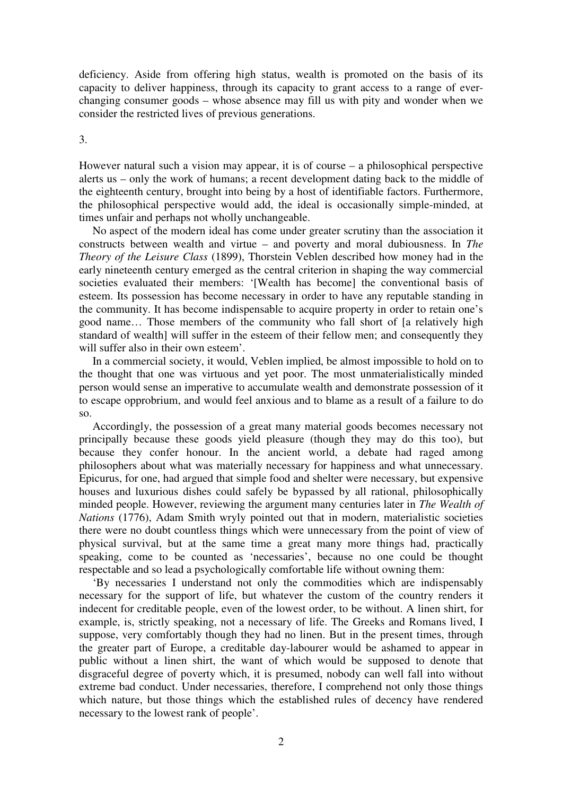deficiency. Aside from offering high status, wealth is promoted on the basis of its capacity to deliver happiness, through its capacity to grant access to a range of everchanging consumer goods – whose absence may fill us with pity and wonder when we consider the restricted lives of previous generations.

3.

However natural such a vision may appear, it is of course – a philosophical perspective alerts us – only the work of humans; a recent development dating back to the middle of the eighteenth century, brought into being by a host of identifiable factors. Furthermore, the philosophical perspective would add, the ideal is occasionally simple-minded, at times unfair and perhaps not wholly unchangeable.

 No aspect of the modern ideal has come under greater scrutiny than the association it constructs between wealth and virtue – and poverty and moral dubiousness. In *The Theory of the Leisure Class* (1899), Thorstein Veblen described how money had in the early nineteenth century emerged as the central criterion in shaping the way commercial societies evaluated their members: '[Wealth has become] the conventional basis of esteem. Its possession has become necessary in order to have any reputable standing in the community. It has become indispensable to acquire property in order to retain one's good name… Those members of the community who fall short of [a relatively high standard of wealth] will suffer in the esteem of their fellow men; and consequently they will suffer also in their own esteem'.

 In a commercial society, it would, Veblen implied, be almost impossible to hold on to the thought that one was virtuous and yet poor. The most unmaterialistically minded person would sense an imperative to accumulate wealth and demonstrate possession of it to escape opprobrium, and would feel anxious and to blame as a result of a failure to do so.

 Accordingly, the possession of a great many material goods becomes necessary not principally because these goods yield pleasure (though they may do this too), but because they confer honour. In the ancient world, a debate had raged among philosophers about what was materially necessary for happiness and what unnecessary. Epicurus, for one, had argued that simple food and shelter were necessary, but expensive houses and luxurious dishes could safely be bypassed by all rational, philosophically minded people. However, reviewing the argument many centuries later in *The Wealth of Nations* (1776), Adam Smith wryly pointed out that in modern, materialistic societies there were no doubt countless things which were unnecessary from the point of view of physical survival, but at the same time a great many more things had, practically speaking, come to be counted as 'necessaries', because no one could be thought respectable and so lead a psychologically comfortable life without owning them:

 'By necessaries I understand not only the commodities which are indispensably necessary for the support of life, but whatever the custom of the country renders it indecent for creditable people, even of the lowest order, to be without. A linen shirt, for example, is, strictly speaking, not a necessary of life. The Greeks and Romans lived, I suppose, very comfortably though they had no linen. But in the present times, through the greater part of Europe, a creditable day-labourer would be ashamed to appear in public without a linen shirt, the want of which would be supposed to denote that disgraceful degree of poverty which, it is presumed, nobody can well fall into without extreme bad conduct. Under necessaries, therefore, I comprehend not only those things which nature, but those things which the established rules of decency have rendered necessary to the lowest rank of people'.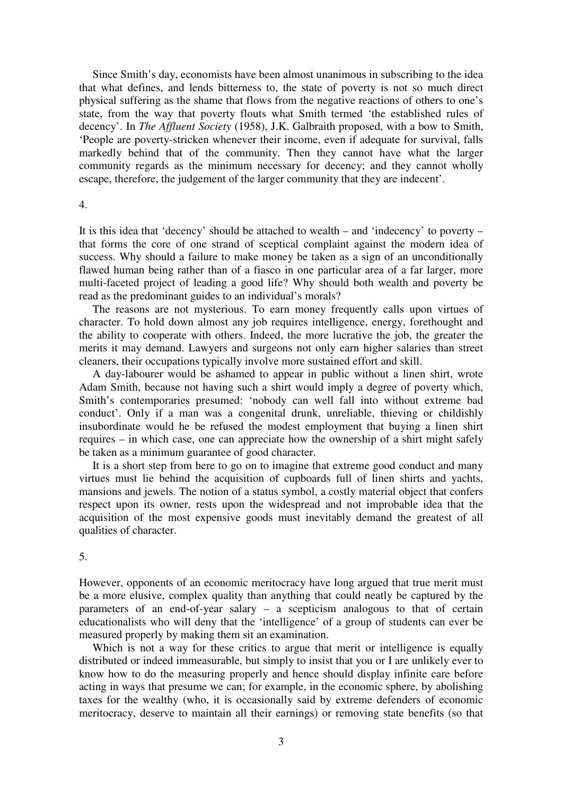Since Smith's day, economists have been almost unanimous in subscribing to the idea that what defines, and lends bitterness to, the state of poverty is not so much direct physical suffering as the shame that flows from the negative reactions of others to one's state, from the way that poverty flouts what Smith termed 'the established rules of decency'. In *The Affluent Society* (1958), J.K. Galbraith proposed, with a bow to Smith, 'People are poverty-stricken whenever their income, even if adequate for survival, falls markedly behind that of the community. Then they cannot have what the larger community regards as the minimum necessary for decency; and they cannot wholly escape, therefore, the judgement of the larger community that they are indecent'.

## 4.

It is this idea that 'decency' should be attached to wealth – and 'indecency' to poverty – that forms the core of one strand of sceptical complaint against the modern idea of success. Why should a failure to make money be taken as a sign of an unconditionally flawed human being rather than of a fiasco in one particular area of a far larger, more multi-faceted project of leading a good life? Why should both wealth and poverty be read as the predominant guides to an individual's morals?

 The reasons are not mysterious. To earn money frequently calls upon virtues of character. To hold down almost any job requires intelligence, energy, forethought and the ability to cooperate with others. Indeed, the more lucrative the job, the greater the merits it may demand. Lawyers and surgeons not only earn higher salaries than street cleaners, their occupations typically involve more sustained effort and skill.

 A day-labourer would be ashamed to appear in public without a linen shirt, wrote Adam Smith, because not having such a shirt would imply a degree of poverty which, Smith's contemporaries presumed: 'nobody can well fall into without extreme bad conduct'. Only if a man was a congenital drunk, unreliable, thieving or childishly insubordinate would he be refused the modest employment that buying a linen shirt requires – in which case, one can appreciate how the ownership of a shirt might safely be taken as a minimum guarantee of good character.

 It is a short step from here to go on to imagine that extreme good conduct and many virtues must lie behind the acquisition of cupboards full of linen shirts and yachts, mansions and jewels. The notion of a status symbol, a costly material object that confers respect upon its owner, rests upon the widespread and not improbable idea that the acquisition of the most expensive goods must inevitably demand the greatest of all qualities of character.

## 5.

However, opponents of an economic meritocracy have long argued that true merit must be a more elusive, complex quality than anything that could neatly be captured by the parameters of an end-of-year salary – a scepticism analogous to that of certain educationalists who will deny that the 'intelligence' of a group of students can ever be measured properly by making them sit an examination.

Which is not a way for these critics to argue that merit or intelligence is equally distributed or indeed immeasurable, but simply to insist that you or I are unlikely ever to know how to do the measuring properly and hence should display infinite care before acting in ways that presume we can; for example, in the economic sphere, by abolishing taxes for the wealthy (who, it is occasionally said by extreme defenders of economic meritocracy, deserve to maintain all their earnings) or removing state benefits (so that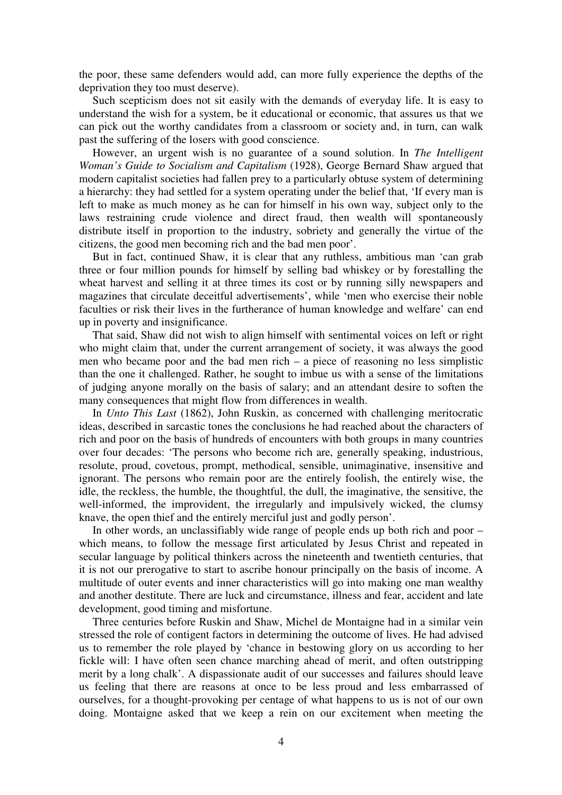the poor, these same defenders would add, can more fully experience the depths of the deprivation they too must deserve).

 Such scepticism does not sit easily with the demands of everyday life. It is easy to understand the wish for a system, be it educational or economic, that assures us that we can pick out the worthy candidates from a classroom or society and, in turn, can walk past the suffering of the losers with good conscience.

 However, an urgent wish is no guarantee of a sound solution. In *The Intelligent Woman's Guide to Socialism and Capitalism* (1928), George Bernard Shaw argued that modern capitalist societies had fallen prey to a particularly obtuse system of determining a hierarchy: they had settled for a system operating under the belief that, 'If every man is left to make as much money as he can for himself in his own way, subject only to the laws restraining crude violence and direct fraud, then wealth will spontaneously distribute itself in proportion to the industry, sobriety and generally the virtue of the citizens, the good men becoming rich and the bad men poor'.

 But in fact, continued Shaw, it is clear that any ruthless, ambitious man 'can grab three or four million pounds for himself by selling bad whiskey or by forestalling the wheat harvest and selling it at three times its cost or by running silly newspapers and magazines that circulate deceitful advertisements', while 'men who exercise their noble faculties or risk their lives in the furtherance of human knowledge and welfare' can end up in poverty and insignificance.

 That said, Shaw did not wish to align himself with sentimental voices on left or right who might claim that, under the current arrangement of society, it was always the good men who became poor and the bad men rich – a piece of reasoning no less simplistic than the one it challenged. Rather, he sought to imbue us with a sense of the limitations of judging anyone morally on the basis of salary; and an attendant desire to soften the many consequences that might flow from differences in wealth.

 In *Unto This Last* (1862), John Ruskin, as concerned with challenging meritocratic ideas, described in sarcastic tones the conclusions he had reached about the characters of rich and poor on the basis of hundreds of encounters with both groups in many countries over four decades: 'The persons who become rich are, generally speaking, industrious, resolute, proud, covetous, prompt, methodical, sensible, unimaginative, insensitive and ignorant. The persons who remain poor are the entirely foolish, the entirely wise, the idle, the reckless, the humble, the thoughtful, the dull, the imaginative, the sensitive, the well-informed, the improvident, the irregularly and impulsively wicked, the clumsy knave, the open thief and the entirely merciful just and godly person'.

 In other words, an unclassifiably wide range of people ends up both rich and poor – which means, to follow the message first articulated by Jesus Christ and repeated in secular language by political thinkers across the nineteenth and twentieth centuries, that it is not our prerogative to start to ascribe honour principally on the basis of income. A multitude of outer events and inner characteristics will go into making one man wealthy and another destitute. There are luck and circumstance, illness and fear, accident and late development, good timing and misfortune.

 Three centuries before Ruskin and Shaw, Michel de Montaigne had in a similar vein stressed the role of contigent factors in determining the outcome of lives. He had advised us to remember the role played by 'chance in bestowing glory on us according to her fickle will: I have often seen chance marching ahead of merit, and often outstripping merit by a long chalk'. A dispassionate audit of our successes and failures should leave us feeling that there are reasons at once to be less proud and less embarrassed of ourselves, for a thought-provoking per centage of what happens to us is not of our own doing. Montaigne asked that we keep a rein on our excitement when meeting the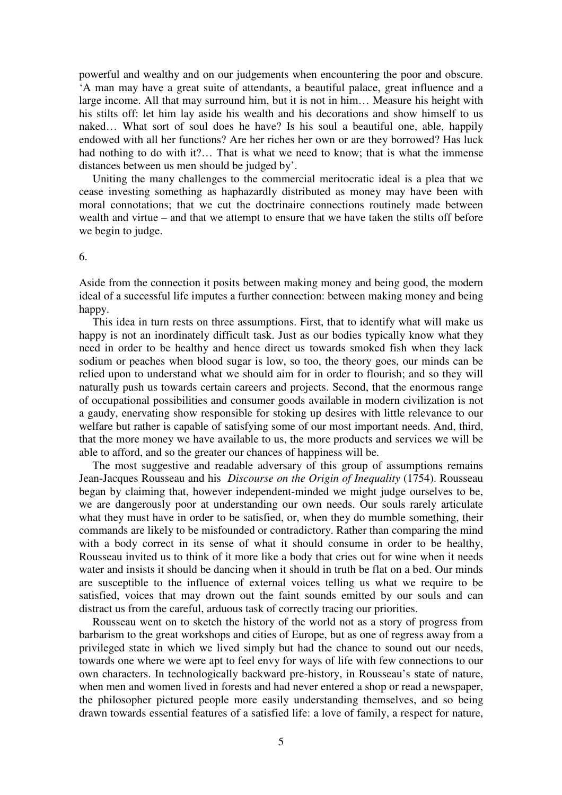powerful and wealthy and on our judgements when encountering the poor and obscure. 'A man may have a great suite of attendants, a beautiful palace, great influence and a large income. All that may surround him, but it is not in him… Measure his height with his stilts off: let him lay aside his wealth and his decorations and show himself to us naked… What sort of soul does he have? Is his soul a beautiful one, able, happily endowed with all her functions? Are her riches her own or are they borrowed? Has luck had nothing to do with it?... That is what we need to know; that is what the immense distances between us men should be judged by'.

 Uniting the many challenges to the commercial meritocratic ideal is a plea that we cease investing something as haphazardly distributed as money may have been with moral connotations; that we cut the doctrinaire connections routinely made between wealth and virtue – and that we attempt to ensure that we have taken the stilts off before we begin to judge.

#### 6.

Aside from the connection it posits between making money and being good, the modern ideal of a successful life imputes a further connection: between making money and being happy.

 This idea in turn rests on three assumptions. First, that to identify what will make us happy is not an inordinately difficult task. Just as our bodies typically know what they need in order to be healthy and hence direct us towards smoked fish when they lack sodium or peaches when blood sugar is low, so too, the theory goes, our minds can be relied upon to understand what we should aim for in order to flourish; and so they will naturally push us towards certain careers and projects. Second, that the enormous range of occupational possibilities and consumer goods available in modern civilization is not a gaudy, enervating show responsible for stoking up desires with little relevance to our welfare but rather is capable of satisfying some of our most important needs. And, third, that the more money we have available to us, the more products and services we will be able to afford, and so the greater our chances of happiness will be.

 The most suggestive and readable adversary of this group of assumptions remains Jean-Jacques Rousseau and his *Discourse on the Origin of Inequality* (1754). Rousseau began by claiming that, however independent-minded we might judge ourselves to be, we are dangerously poor at understanding our own needs. Our souls rarely articulate what they must have in order to be satisfied, or, when they do mumble something, their commands are likely to be misfounded or contradictory. Rather than comparing the mind with a body correct in its sense of what it should consume in order to be healthy, Rousseau invited us to think of it more like a body that cries out for wine when it needs water and insists it should be dancing when it should in truth be flat on a bed. Our minds are susceptible to the influence of external voices telling us what we require to be satisfied, voices that may drown out the faint sounds emitted by our souls and can distract us from the careful, arduous task of correctly tracing our priorities.

 Rousseau went on to sketch the history of the world not as a story of progress from barbarism to the great workshops and cities of Europe, but as one of regress away from a privileged state in which we lived simply but had the chance to sound out our needs, towards one where we were apt to feel envy for ways of life with few connections to our own characters. In technologically backward pre-history, in Rousseau's state of nature, when men and women lived in forests and had never entered a shop or read a newspaper, the philosopher pictured people more easily understanding themselves, and so being drawn towards essential features of a satisfied life: a love of family, a respect for nature,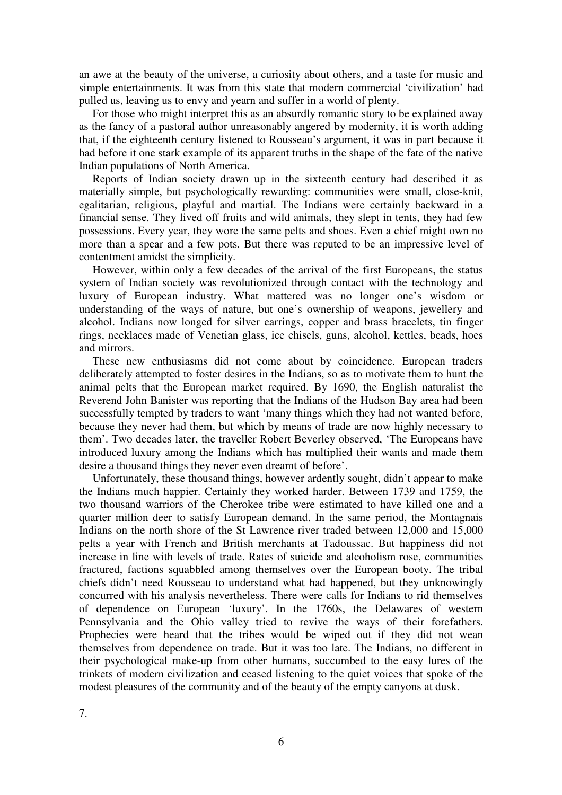an awe at the beauty of the universe, a curiosity about others, and a taste for music and simple entertainments. It was from this state that modern commercial 'civilization' had pulled us, leaving us to envy and yearn and suffer in a world of plenty.

 For those who might interpret this as an absurdly romantic story to be explained away as the fancy of a pastoral author unreasonably angered by modernity, it is worth adding that, if the eighteenth century listened to Rousseau's argument, it was in part because it had before it one stark example of its apparent truths in the shape of the fate of the native Indian populations of North America.

 Reports of Indian society drawn up in the sixteenth century had described it as materially simple, but psychologically rewarding: communities were small, close-knit, egalitarian, religious, playful and martial. The Indians were certainly backward in a financial sense. They lived off fruits and wild animals, they slept in tents, they had few possessions. Every year, they wore the same pelts and shoes. Even a chief might own no more than a spear and a few pots. But there was reputed to be an impressive level of contentment amidst the simplicity.

 However, within only a few decades of the arrival of the first Europeans, the status system of Indian society was revolutionized through contact with the technology and luxury of European industry. What mattered was no longer one's wisdom or understanding of the ways of nature, but one's ownership of weapons, jewellery and alcohol. Indians now longed for silver earrings, copper and brass bracelets, tin finger rings, necklaces made of Venetian glass, ice chisels, guns, alcohol, kettles, beads, hoes and mirrors.

 These new enthusiasms did not come about by coincidence. European traders deliberately attempted to foster desires in the Indians, so as to motivate them to hunt the animal pelts that the European market required. By 1690, the English naturalist the Reverend John Banister was reporting that the Indians of the Hudson Bay area had been successfully tempted by traders to want 'many things which they had not wanted before, because they never had them, but which by means of trade are now highly necessary to them'. Two decades later, the traveller Robert Beverley observed, 'The Europeans have introduced luxury among the Indians which has multiplied their wants and made them desire a thousand things they never even dreamt of before'.

 Unfortunately, these thousand things, however ardently sought, didn't appear to make the Indians much happier. Certainly they worked harder. Between 1739 and 1759, the two thousand warriors of the Cherokee tribe were estimated to have killed one and a quarter million deer to satisfy European demand. In the same period, the Montagnais Indians on the north shore of the St Lawrence river traded between 12,000 and 15,000 pelts a year with French and British merchants at Tadoussac. But happiness did not increase in line with levels of trade. Rates of suicide and alcoholism rose, communities fractured, factions squabbled among themselves over the European booty. The tribal chiefs didn't need Rousseau to understand what had happened, but they unknowingly concurred with his analysis nevertheless. There were calls for Indians to rid themselves of dependence on European 'luxury'. In the 1760s, the Delawares of western Pennsylvania and the Ohio valley tried to revive the ways of their forefathers. Prophecies were heard that the tribes would be wiped out if they did not wean themselves from dependence on trade. But it was too late. The Indians, no different in their psychological make-up from other humans, succumbed to the easy lures of the trinkets of modern civilization and ceased listening to the quiet voices that spoke of the modest pleasures of the community and of the beauty of the empty canyons at dusk.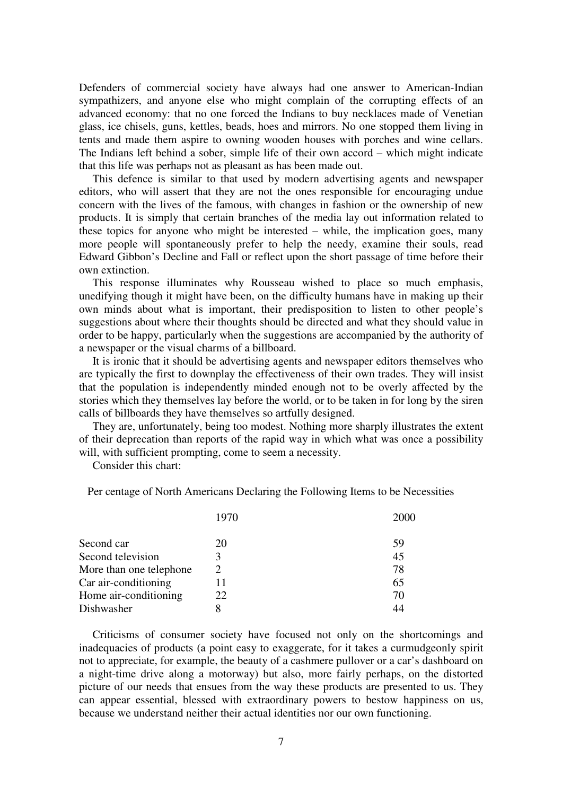Defenders of commercial society have always had one answer to American-Indian sympathizers, and anyone else who might complain of the corrupting effects of an advanced economy: that no one forced the Indians to buy necklaces made of Venetian glass, ice chisels, guns, kettles, beads, hoes and mirrors. No one stopped them living in tents and made them aspire to owning wooden houses with porches and wine cellars. The Indians left behind a sober, simple life of their own accord – which might indicate that this life was perhaps not as pleasant as has been made out.

 This defence is similar to that used by modern advertising agents and newspaper editors, who will assert that they are not the ones responsible for encouraging undue concern with the lives of the famous, with changes in fashion or the ownership of new products. It is simply that certain branches of the media lay out information related to these topics for anyone who might be interested – while, the implication goes, many more people will spontaneously prefer to help the needy, examine their souls, read Edward Gibbon's Decline and Fall or reflect upon the short passage of time before their own extinction.

 This response illuminates why Rousseau wished to place so much emphasis, unedifying though it might have been, on the difficulty humans have in making up their own minds about what is important, their predisposition to listen to other people's suggestions about where their thoughts should be directed and what they should value in order to be happy, particularly when the suggestions are accompanied by the authority of a newspaper or the visual charms of a billboard.

 It is ironic that it should be advertising agents and newspaper editors themselves who are typically the first to downplay the effectiveness of their own trades. They will insist that the population is independently minded enough not to be overly affected by the stories which they themselves lay before the world, or to be taken in for long by the siren calls of billboards they have themselves so artfully designed.

 They are, unfortunately, being too modest. Nothing more sharply illustrates the extent of their deprecation than reports of the rapid way in which what was once a possibility will, with sufficient prompting, come to seem a necessity.

Consider this chart:

Per centage of North Americans Declaring the Following Items to be Necessities

|                         | 1970                        | 2000 |
|-------------------------|-----------------------------|------|
| Second car              | 20                          | 59   |
| Second television       | 3                           | 45   |
| More than one telephone | $\mathcal{D}_{\mathcal{L}}$ | 78   |
| Car air-conditioning    |                             | 65   |
| Home air-conditioning   | 22.                         | 70   |
| Dishwasher              |                             |      |

 Criticisms of consumer society have focused not only on the shortcomings and inadequacies of products (a point easy to exaggerate, for it takes a curmudgeonly spirit not to appreciate, for example, the beauty of a cashmere pullover or a car's dashboard on a night-time drive along a motorway) but also, more fairly perhaps, on the distorted picture of our needs that ensues from the way these products are presented to us. They can appear essential, blessed with extraordinary powers to bestow happiness on us, because we understand neither their actual identities nor our own functioning.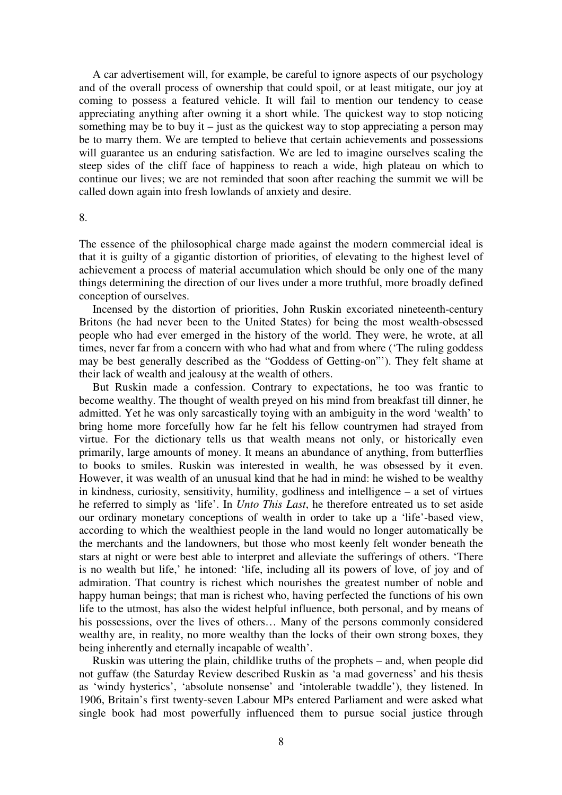A car advertisement will, for example, be careful to ignore aspects of our psychology and of the overall process of ownership that could spoil, or at least mitigate, our joy at coming to possess a featured vehicle. It will fail to mention our tendency to cease appreciating anything after owning it a short while. The quickest way to stop noticing something may be to buy it – just as the quickest way to stop appreciating a person may be to marry them. We are tempted to believe that certain achievements and possessions will guarantee us an enduring satisfaction. We are led to imagine ourselves scaling the steep sides of the cliff face of happiness to reach a wide, high plateau on which to continue our lives; we are not reminded that soon after reaching the summit we will be called down again into fresh lowlands of anxiety and desire.

#### 8.

The essence of the philosophical charge made against the modern commercial ideal is that it is guilty of a gigantic distortion of priorities, of elevating to the highest level of achievement a process of material accumulation which should be only one of the many things determining the direction of our lives under a more truthful, more broadly defined conception of ourselves.

 Incensed by the distortion of priorities, John Ruskin excoriated nineteenth-century Britons (he had never been to the United States) for being the most wealth-obsessed people who had ever emerged in the history of the world. They were, he wrote, at all times, never far from a concern with who had what and from where ('The ruling goddess may be best generally described as the "Goddess of Getting-on"'). They felt shame at their lack of wealth and jealousy at the wealth of others.

 But Ruskin made a confession. Contrary to expectations, he too was frantic to become wealthy. The thought of wealth preyed on his mind from breakfast till dinner, he admitted. Yet he was only sarcastically toying with an ambiguity in the word 'wealth' to bring home more forcefully how far he felt his fellow countrymen had strayed from virtue. For the dictionary tells us that wealth means not only, or historically even primarily, large amounts of money. It means an abundance of anything, from butterflies to books to smiles. Ruskin was interested in wealth, he was obsessed by it even. However, it was wealth of an unusual kind that he had in mind: he wished to be wealthy in kindness, curiosity, sensitivity, humility, godliness and intelligence – a set of virtues he referred to simply as 'life'. In *Unto This Last*, he therefore entreated us to set aside our ordinary monetary conceptions of wealth in order to take up a 'life'-based view, according to which the wealthiest people in the land would no longer automatically be the merchants and the landowners, but those who most keenly felt wonder beneath the stars at night or were best able to interpret and alleviate the sufferings of others. 'There is no wealth but life,' he intoned: 'life, including all its powers of love, of joy and of admiration. That country is richest which nourishes the greatest number of noble and happy human beings; that man is richest who, having perfected the functions of his own life to the utmost, has also the widest helpful influence, both personal, and by means of his possessions, over the lives of others… Many of the persons commonly considered wealthy are, in reality, no more wealthy than the locks of their own strong boxes, they being inherently and eternally incapable of wealth'.

 Ruskin was uttering the plain, childlike truths of the prophets – and, when people did not guffaw (the Saturday Review described Ruskin as 'a mad governess' and his thesis as 'windy hysterics', 'absolute nonsense' and 'intolerable twaddle'), they listened. In 1906, Britain's first twenty-seven Labour MPs entered Parliament and were asked what single book had most powerfully influenced them to pursue social justice through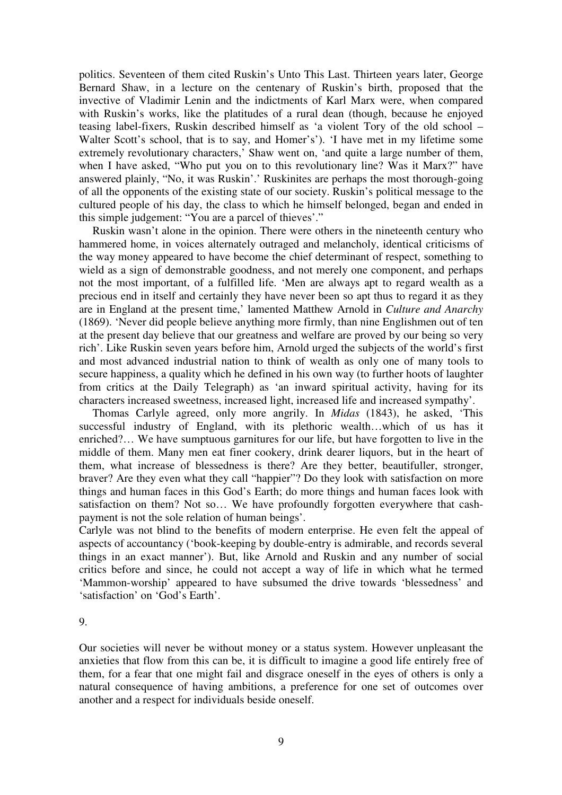politics. Seventeen of them cited Ruskin's Unto This Last. Thirteen years later, George Bernard Shaw, in a lecture on the centenary of Ruskin's birth, proposed that the invective of Vladimir Lenin and the indictments of Karl Marx were, when compared with Ruskin's works, like the platitudes of a rural dean (though, because he enjoyed teasing label-fixers, Ruskin described himself as 'a violent Tory of the old school – Walter Scott's school, that is to say, and Homer's'). 'I have met in my lifetime some extremely revolutionary characters,' Shaw went on, 'and quite a large number of them, when I have asked, "Who put you on to this revolutionary line? Was it Marx?" have answered plainly, "No, it was Ruskin'.' Ruskinites are perhaps the most thorough-going of all the opponents of the existing state of our society. Ruskin's political message to the cultured people of his day, the class to which he himself belonged, began and ended in this simple judgement: "You are a parcel of thieves'."

 Ruskin wasn't alone in the opinion. There were others in the nineteenth century who hammered home, in voices alternately outraged and melancholy, identical criticisms of the way money appeared to have become the chief determinant of respect, something to wield as a sign of demonstrable goodness, and not merely one component, and perhaps not the most important, of a fulfilled life. 'Men are always apt to regard wealth as a precious end in itself and certainly they have never been so apt thus to regard it as they are in England at the present time,' lamented Matthew Arnold in *Culture and Anarchy* (1869). 'Never did people believe anything more firmly, than nine Englishmen out of ten at the present day believe that our greatness and welfare are proved by our being so very rich'. Like Ruskin seven years before him, Arnold urged the subjects of the world's first and most advanced industrial nation to think of wealth as only one of many tools to secure happiness, a quality which he defined in his own way (to further hoots of laughter from critics at the Daily Telegraph) as 'an inward spiritual activity, having for its characters increased sweetness, increased light, increased life and increased sympathy'.

 Thomas Carlyle agreed, only more angrily. In *Midas* (1843), he asked, 'This successful industry of England, with its plethoric wealth...which of us has it enriched?… We have sumptuous garnitures for our life, but have forgotten to live in the middle of them. Many men eat finer cookery, drink dearer liquors, but in the heart of them, what increase of blessedness is there? Are they better, beautifuller, stronger, braver? Are they even what they call "happier"? Do they look with satisfaction on more things and human faces in this God's Earth; do more things and human faces look with satisfaction on them? Not so… We have profoundly forgotten everywhere that cashpayment is not the sole relation of human beings'.

Carlyle was not blind to the benefits of modern enterprise. He even felt the appeal of aspects of accountancy ('book-keeping by double-entry is admirable, and records several things in an exact manner'). But, like Arnold and Ruskin and any number of social critics before and since, he could not accept a way of life in which what he termed 'Mammon-worship' appeared to have subsumed the drive towards 'blessedness' and 'satisfaction' on 'God's Earth'.

9.

Our societies will never be without money or a status system. However unpleasant the anxieties that flow from this can be, it is difficult to imagine a good life entirely free of them, for a fear that one might fail and disgrace oneself in the eyes of others is only a natural consequence of having ambitions, a preference for one set of outcomes over another and a respect for individuals beside oneself.